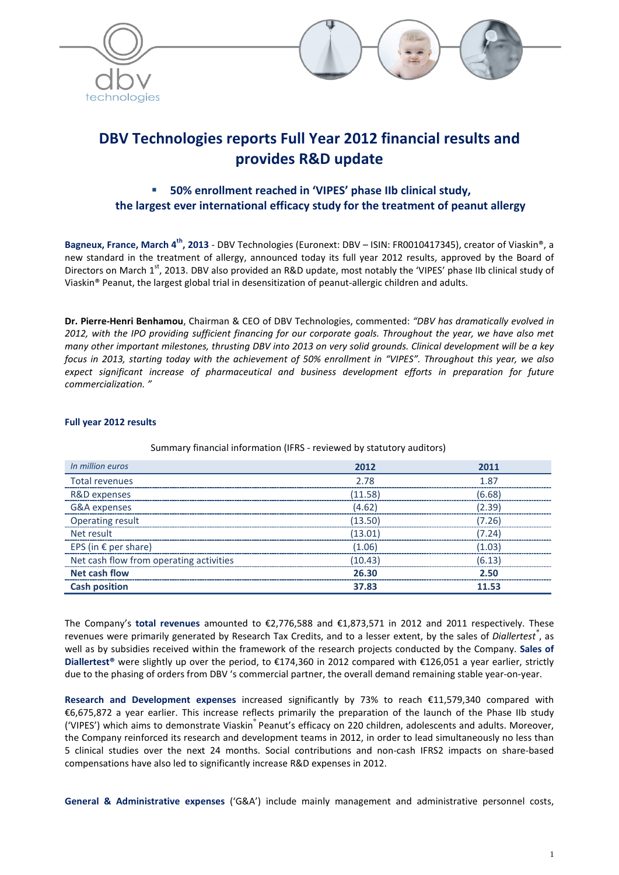



# **DBV Technologies reports Full Year 2012 financial results and provides R&D update**

# **50% enrollment reached in 'VIPES' phase IIb clinical study, the largest ever international efficacy study for the treatment of peanut allergy**

**Bagneux, France, March 4th, 2013** - DBV Technologies (Euronext: DBV – ISIN: FR0010417345), creator of Viaskin®, a new standard in the treatment of allergy, announced today its full year 2012 results, approved by the Board of Directors on March 1<sup>st</sup>, 2013. DBV also provided an R&D update, most notably the 'VIPES' phase IIb clinical study of Viaskin® Peanut, the largest global trial in desensitization of peanut-allergic children and adults.

**Dr. Pierre-Henri Benhamou**, Chairman & CEO of DBV Technologies, commented: *"DBV has dramatically evolved in*  2012, with the IPO providing sufficient financing for our corporate goals. Throughout the year, we have also met *many other important milestones, thrusting DBV into 2013 on very solid grounds. Clinical development will be a key focus in 2013, starting today with the achievement of 50% enrollment in "VIPES". Throughout this year, we also expect significant increase of pharmaceutical and business development efforts in preparation for future commercialization. "*

# **Full year 2012 results**

| In million euros                        | 2012    | 2011   |
|-----------------------------------------|---------|--------|
| <b>Total revenues</b>                   | 2.78    | 1.87   |
| R&D expenses                            | (11.58) | (6.68) |
| G&A expenses                            | (4.62)  | (2.39) |
| <b>Operating result</b>                 | (13.50) | (7.26) |
| Net result                              | (13.01) | (7.24) |
| EPS (in $\epsilon$ per share)           | (1.06)  | (1.03) |
| Net cash flow from operating activities | (10.43) | (6.13) |
| <b>Net cash flow</b>                    | 26.30   | 2.50   |
| <b>Cash position</b>                    | 37.83   | 11.53  |

#### Summary financial information (IFRS - reviewed by statutory auditors)

The Company's **total revenues** amounted to €2,776,588 and €1,873,571 in 2012 and 2011 respectively. These revenues were primarily generated by Research Tax Credits, and to a lesser extent, by the sales of *Diallertest®* , as well as by subsidies received within the framework of the research projects conducted by the Company. **Sales of Diallertest®** were slightly up over the period, to €174,360 in 2012 compared with €126,051 a year earlier, strictly due to the phasing of orders from DBV 's commercial partner, the overall demand remaining stable year-on-year.

**Research and Development expenses** increased significantly by 73% to reach €11,579,340 compared with €6,675,872 a year earlier. This increase reflects primarily the preparation of the launch of the Phase IIb study ('VIPES') which aims to demonstrate Viaskin® Peanut's efficacy on 220 children, adolescents and adults. Moreover, the Company reinforced its research and development teams in 2012, in order to lead simultaneously no less than 5 clinical studies over the next 24 months. Social contributions and non-cash IFRS2 impacts on share-based compensations have also led to significantly increase R&D expenses in 2012.

**General & Administrative expenses** ('G&A') include mainly management and administrative personnel costs,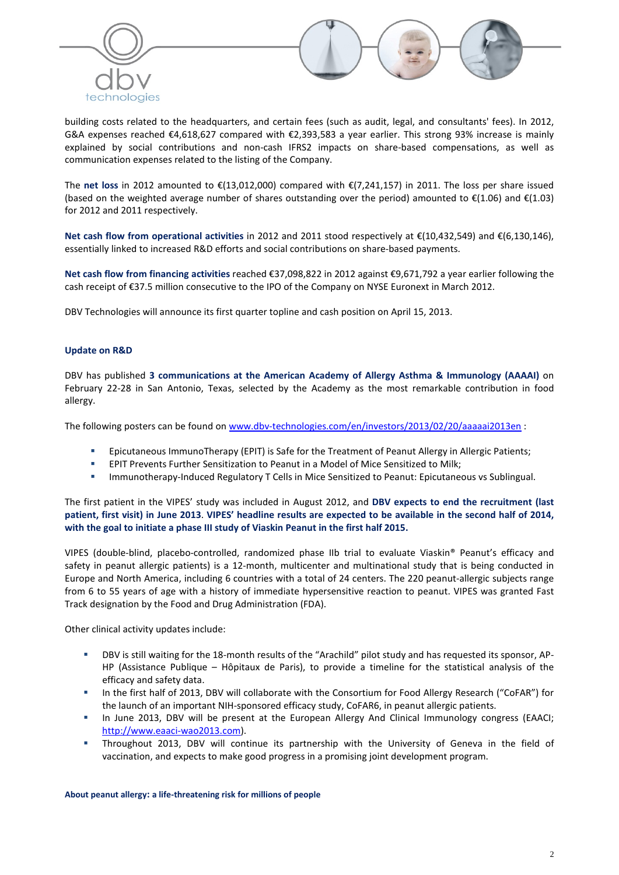



building costs related to the headquarters, and certain fees (such as audit, legal, and consultants' fees). In 2012, G&A expenses reached €4,618,627 compared with €2,393,583 a year earlier. This strong 93% increase is mainly explained by social contributions and non-cash IFRS2 impacts on share-based compensations, as well as communication expenses related to the listing of the Company.

The **net loss** in 2012 amounted to €(13,012,000) compared with €(7,241,157) in 2011. The loss per share issued (based on the weighted average number of shares outstanding over the period) amounted to €(1.06) and €(1.03) for 2012 and 2011 respectively.

**Net cash flow from operational activities** in 2012 and 2011 stood respectively at €(10,432,549) and €(6,130,146), essentially linked to increased R&D efforts and social contributions on share-based payments.

**Net cash flow from financing activities** reached €37,098,822 in 2012 against €9,671,792 a year earlier following the cash receipt of €37.5 million consecutive to the IPO of the Company on NYSE Euronext in March 2012.

DBV Technologies will announce its first quarter topline and cash position on April 15, 2013.

### **Update on R&D**

DBV has published **3 communications at the American Academy of Allergy Asthma & Immunology (AAAAI)** on February 22-28 in San Antonio, Texas, selected by the Academy as the most remarkable contribution in food allergy.

The following posters can be found on [www.dbv-technologies.com/en/investors/2013/02/20/aaaaai2013en](http://www.dbv-technologies.com/en/investors/2013/02/20/aaaaai2013en) :

- Epicutaneous ImmunoTherapy (EPIT) is Safe for the Treatment of Peanut Allergy in Allergic Patients;
- EPIT Prevents Further Sensitization to Peanut in a Model of Mice Sensitized to Milk;
- **Immunotherapy-Induced Regulatory T Cells in Mice Sensitized to Peanut: Epicutaneous vs Sublingual.**

The first patient in the VIPES' study was included in August 2012, and **DBV expects to end the recruitment (last patient, first visit) in June 2013**. **VIPES' headline results are expected to be available in the second half of 2014, with the goal to initiate a phase III study of Viaskin Peanut in the first half 2015.**

VIPES (double-blind, placebo-controlled, randomized phase IIb trial to evaluate Viaskin® Peanut's efficacy and safety in peanut allergic patients) is a 12-month, multicenter and multinational study that is being conducted in Europe and North America, including 6 countries with a total of 24 centers. The 220 peanut-allergic subjects range from 6 to 55 years of age with a history of immediate hypersensitive reaction to peanut. VIPES was granted Fast Track designation by the Food and Drug Administration (FDA).

Other clinical activity updates include:

- DBV is still waiting for the 18-month results of the "Arachild" pilot study and has requested its sponsor, AP-HP (Assistance Publique – Hôpitaux de Paris), to provide a timeline for the statistical analysis of the efficacy and safety data.
- In the first half of 2013, DBV will collaborate with the Consortium for Food Allergy Research ("CoFAR") for the launch of an important NIH-sponsored efficacy study, CoFAR6, in peanut allergic patients.
- In June 2013, DBV will be present at the European Allergy And Clinical Immunology congress (EAACI; [http://www.eaaci-wao2013.com\)](http://www.eaaci-wao2013.com/).
- Throughout 2013, DBV will continue its partnership with the University of Geneva in the field of vaccination, and expects to make good progress in a promising joint development program.

**About peanut allergy: a life-threatening risk for millions of people**